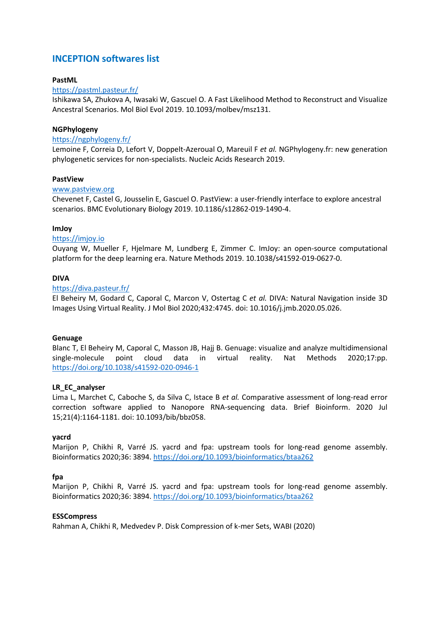# **INCEPTION softwares list**

# **PastML**

# <https://pastml.pasteur.fr/>

Ishikawa SA, Zhukova A, Iwasaki W, Gascuel O. A Fast Likelihood Method to Reconstruct and Visualize Ancestral Scenarios. Mol Biol Evol 2019. 10.1093/molbev/msz131.

# **NGPhylogeny**

#### <https://ngphylogeny.fr/>

Lemoine F, Correia D, Lefort V, Doppelt-Azeroual O, Mareuil F *et al.* NGPhylogeny.fr: new generation phylogenetic services for non-specialists. Nucleic Acids Research 2019.

# **PastView**

# [www.pastview.org](http://www.pastview.org/)

Chevenet F, Castel G, Jousselin E, Gascuel O. PastView: a user-friendly interface to explore ancestral scenarios. BMC Evolutionary Biology 2019. 10.1186/s12862-019-1490-4.

# **ImJoy**

#### [https://imjoy.io](https://imjoy.io/)

Ouyang W, Mueller F, Hjelmare M, Lundberg E, Zimmer C. ImJoy: an open-source computational platform for the deep learning era. Nature Methods 2019. 10.1038/s41592-019-0627-0.

# **DIVA**

#### <https://diva.pasteur.fr/>

El Beheiry M, Godard C, Caporal C, Marcon V, Ostertag C *et al.* DIVA: Natural Navigation inside 3D Images Using Virtual Reality. J Mol Biol 2020;432:4745. doi: 10.1016/j.jmb.2020.05.026.

# **Genuage**

Blanc T, El Beheiry M, Caporal C, Masson JB, Hajj B. Genuage: visualize and analyze multidimensional single-molecule point cloud data in virtual reality. Nat Methods 2020;17:pp. <https://doi.org/10.1038/s41592-020-0946-1>

# **LR\_EC\_analyser**

Lima L, Marchet C, Caboche S, da Silva C, Istace B *et al.* Comparative assessment of long-read error correction software applied to Nanopore RNA-sequencing data. Brief Bioinform. 2020 Jul 15;21(4):1164-1181. doi: 10.1093/bib/bbz058.

#### **yacrd**

Marijon P, Chikhi R, Varré JS. yacrd and fpa: upstream tools for long-read genome assembly. Bioinformatics 2020;36: 3894[. https://doi.org/10.1093/bioinformatics/btaa262](https://doi.org/10.1093/bioinformatics/btaa262)

# **fpa**

Marijon P, Chikhi R, Varré JS. yacrd and fpa: upstream tools for long-read genome assembly. Bioinformatics 2020;36: 3894[. https://doi.org/10.1093/bioinformatics/btaa262](https://doi.org/10.1093/bioinformatics/btaa262)

#### **ESSCompress**

Rahman A, Chikhi R, Medvedev P. Disk Compression of k-mer Sets, WABI (2020)